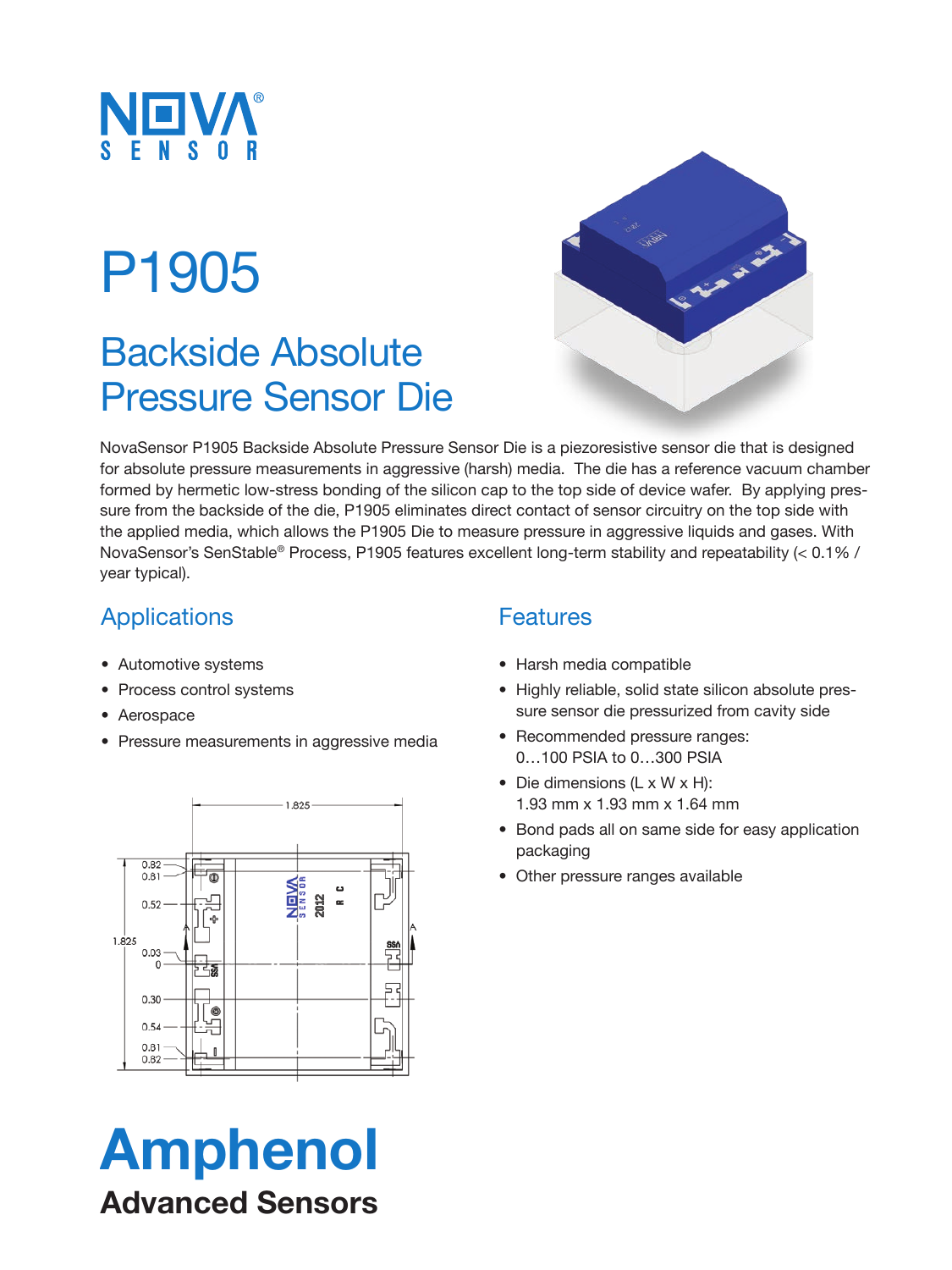

# P1905

## Backside Absolute Pressure Sensor Die



NovaSensor P1905 Backside Absolute Pressure Sensor Die is a piezoresistive sensor die that is designed for absolute pressure measurements in aggressive (harsh) media. The die has a reference vacuum chamber formed by hermetic low-stress bonding of the silicon cap to the top side of device wafer. By applying pressure from the backside of the die, P1905 eliminates direct contact of sensor circuitry on the top side with the applied media, which allows the P1905 Die to measure pressure in aggressive liquids and gases. With NovaSensor's SenStable® Process, P1905 features excellent long-term stability and repeatability (< 0.1% / year typical).

## **Applications**

- Automotive systems
- Process control systems
- Aerospace
- Pressure measurements in aggressive media



# Amphenol Advanced Sensors

### **Features**

- Harsh media compatible
- Highly reliable, solid state silicon absolute pressure sensor die pressurized from cavity side
- Recommended pressure ranges: 0…100 PSIA to 0…300 PSIA
- Die dimensions (L x W x H): 1.93 mm x 1.93 mm x 1.64 mm
- Bond pads all on same side for easy application packaging
- Other pressure ranges available